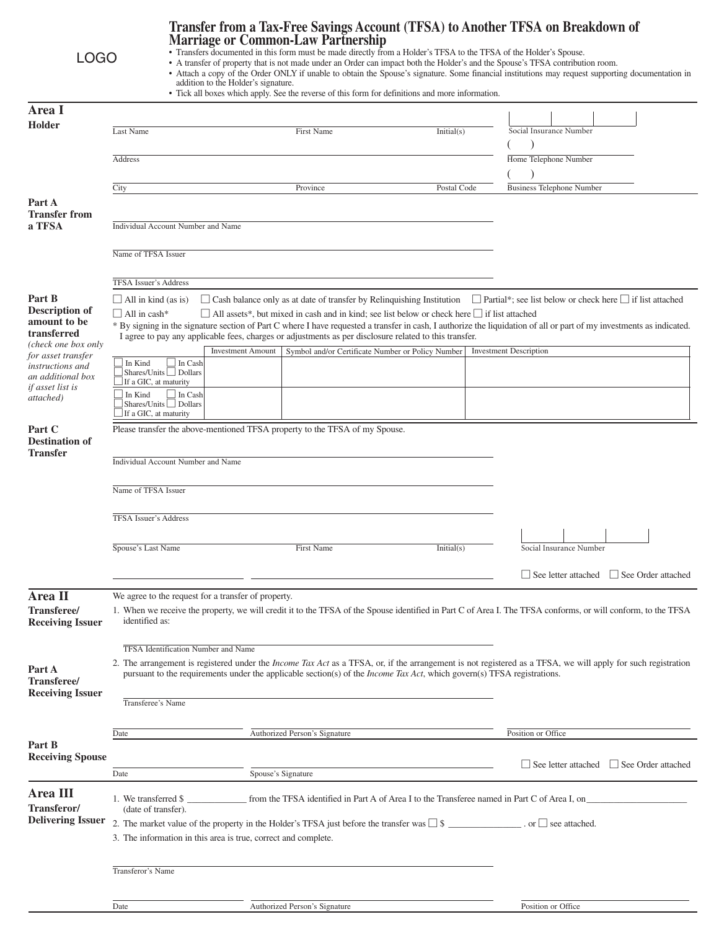| <b>LOGO</b>                                                                 |                                                                                                                                                                                                                                                                                                                                                                                                                   | Transfer from a Tax-Free Savings Account (TFSA) to Another TFSA on Breakdown of<br><b>Marriage or Common-Law Partnership</b><br>• Transfers documented in this form must be made directly from a Holder's TFSA to the TFSA of the Holder's Spouse.<br>• A transfer of property that is not made under an Order can impact both the Holder's and the Spouse's TFSA contribution room.<br>• Attach a copy of the Order ONLY if unable to obtain the Spouse's signature. Some financial institutions may request supporting documentation in<br>addition to the Holder's signature.<br>• Tick all boxes which apply. See the reverse of this form for definitions and more information. |                                                                             |             |  |                                                                                                                                                              |  |
|-----------------------------------------------------------------------------|-------------------------------------------------------------------------------------------------------------------------------------------------------------------------------------------------------------------------------------------------------------------------------------------------------------------------------------------------------------------------------------------------------------------|--------------------------------------------------------------------------------------------------------------------------------------------------------------------------------------------------------------------------------------------------------------------------------------------------------------------------------------------------------------------------------------------------------------------------------------------------------------------------------------------------------------------------------------------------------------------------------------------------------------------------------------------------------------------------------------|-----------------------------------------------------------------------------|-------------|--|--------------------------------------------------------------------------------------------------------------------------------------------------------------|--|
| Area I                                                                      |                                                                                                                                                                                                                                                                                                                                                                                                                   |                                                                                                                                                                                                                                                                                                                                                                                                                                                                                                                                                                                                                                                                                      |                                                                             |             |  |                                                                                                                                                              |  |
| <b>Holder</b>                                                               |                                                                                                                                                                                                                                                                                                                                                                                                                   |                                                                                                                                                                                                                                                                                                                                                                                                                                                                                                                                                                                                                                                                                      |                                                                             |             |  |                                                                                                                                                              |  |
|                                                                             | Last Name                                                                                                                                                                                                                                                                                                                                                                                                         |                                                                                                                                                                                                                                                                                                                                                                                                                                                                                                                                                                                                                                                                                      | <b>First Name</b>                                                           | Initial(s)  |  | Social Insurance Number                                                                                                                                      |  |
|                                                                             | Address                                                                                                                                                                                                                                                                                                                                                                                                           |                                                                                                                                                                                                                                                                                                                                                                                                                                                                                                                                                                                                                                                                                      |                                                                             |             |  | Home Telephone Number                                                                                                                                        |  |
|                                                                             |                                                                                                                                                                                                                                                                                                                                                                                                                   |                                                                                                                                                                                                                                                                                                                                                                                                                                                                                                                                                                                                                                                                                      |                                                                             |             |  |                                                                                                                                                              |  |
|                                                                             | City                                                                                                                                                                                                                                                                                                                                                                                                              |                                                                                                                                                                                                                                                                                                                                                                                                                                                                                                                                                                                                                                                                                      | Province                                                                    | Postal Code |  | <b>Business Telephone Number</b>                                                                                                                             |  |
| Part A<br><b>Transfer from</b><br>a TFSA                                    | <b>Individual Account Number and Name</b>                                                                                                                                                                                                                                                                                                                                                                         |                                                                                                                                                                                                                                                                                                                                                                                                                                                                                                                                                                                                                                                                                      |                                                                             |             |  |                                                                                                                                                              |  |
|                                                                             | Name of TFSA Issuer                                                                                                                                                                                                                                                                                                                                                                                               |                                                                                                                                                                                                                                                                                                                                                                                                                                                                                                                                                                                                                                                                                      |                                                                             |             |  |                                                                                                                                                              |  |
|                                                                             |                                                                                                                                                                                                                                                                                                                                                                                                                   |                                                                                                                                                                                                                                                                                                                                                                                                                                                                                                                                                                                                                                                                                      |                                                                             |             |  |                                                                                                                                                              |  |
|                                                                             |                                                                                                                                                                                                                                                                                                                                                                                                                   | TFSA Issuer's Address                                                                                                                                                                                                                                                                                                                                                                                                                                                                                                                                                                                                                                                                |                                                                             |             |  |                                                                                                                                                              |  |
| Part B                                                                      | $\Box$ Cash balance only as at date of transfer by Relinquishing Institution<br>$\Box$ Partial*; see list below or check here $\Box$ if list attached<br>$\Box$ All in kind (as is)                                                                                                                                                                                                                               |                                                                                                                                                                                                                                                                                                                                                                                                                                                                                                                                                                                                                                                                                      |                                                                             |             |  |                                                                                                                                                              |  |
| <b>Description of</b><br>amount to be<br>transferred<br>(check one box only | $\Box$ All in cash*<br>$\Box$ All assets*, but mixed in cash and in kind; see list below or check here $\Box$ if list attached<br>* By signing in the signature section of Part C where I have requested a transfer in cash, I authorize the liquidation of all or part of my investments as indicated.<br>I agree to pay any applicable fees, charges or adjustments as per disclosure related to this transfer. |                                                                                                                                                                                                                                                                                                                                                                                                                                                                                                                                                                                                                                                                                      |                                                                             |             |  |                                                                                                                                                              |  |
| for asset transfer                                                          | In Kind                                                                                                                                                                                                                                                                                                                                                                                                           | <b>Investment Amount</b><br>In Cash                                                                                                                                                                                                                                                                                                                                                                                                                                                                                                                                                                                                                                                  | Symbol and/or Certificate Number or Policy Number                           |             |  | <b>Investment Description</b>                                                                                                                                |  |
| instructions and<br>an additional box                                       | Shares/Units Dollars                                                                                                                                                                                                                                                                                                                                                                                              |                                                                                                                                                                                                                                                                                                                                                                                                                                                                                                                                                                                                                                                                                      |                                                                             |             |  |                                                                                                                                                              |  |
| <i>if asset list is</i><br>attached)                                        | If a GIC, at maturity<br>In Kind<br>Shares/Units $\Box$ Dollars                                                                                                                                                                                                                                                                                                                                                   | In Cash                                                                                                                                                                                                                                                                                                                                                                                                                                                                                                                                                                                                                                                                              |                                                                             |             |  |                                                                                                                                                              |  |
|                                                                             | If a GIC, at maturity                                                                                                                                                                                                                                                                                                                                                                                             |                                                                                                                                                                                                                                                                                                                                                                                                                                                                                                                                                                                                                                                                                      |                                                                             |             |  |                                                                                                                                                              |  |
| Part C<br><b>Destination of</b><br><b>Transfer</b>                          |                                                                                                                                                                                                                                                                                                                                                                                                                   |                                                                                                                                                                                                                                                                                                                                                                                                                                                                                                                                                                                                                                                                                      | Please transfer the above-mentioned TFSA property to the TFSA of my Spouse. |             |  |                                                                                                                                                              |  |
|                                                                             | Individual Account Number and Name                                                                                                                                                                                                                                                                                                                                                                                |                                                                                                                                                                                                                                                                                                                                                                                                                                                                                                                                                                                                                                                                                      |                                                                             |             |  |                                                                                                                                                              |  |
|                                                                             | Name of TFSA Issuer                                                                                                                                                                                                                                                                                                                                                                                               |                                                                                                                                                                                                                                                                                                                                                                                                                                                                                                                                                                                                                                                                                      |                                                                             |             |  |                                                                                                                                                              |  |
|                                                                             |                                                                                                                                                                                                                                                                                                                                                                                                                   |                                                                                                                                                                                                                                                                                                                                                                                                                                                                                                                                                                                                                                                                                      |                                                                             |             |  |                                                                                                                                                              |  |
|                                                                             | <b>TFSA Issuer's Address</b>                                                                                                                                                                                                                                                                                                                                                                                      |                                                                                                                                                                                                                                                                                                                                                                                                                                                                                                                                                                                                                                                                                      |                                                                             |             |  |                                                                                                                                                              |  |
|                                                                             | Spouse's Last Name                                                                                                                                                                                                                                                                                                                                                                                                |                                                                                                                                                                                                                                                                                                                                                                                                                                                                                                                                                                                                                                                                                      | First Name                                                                  | Initial(s)  |  | Social Insurance Number                                                                                                                                      |  |
|                                                                             |                                                                                                                                                                                                                                                                                                                                                                                                                   |                                                                                                                                                                                                                                                                                                                                                                                                                                                                                                                                                                                                                                                                                      |                                                                             |             |  | $\Box$ See letter attached<br>See Order attached                                                                                                             |  |
| Area II<br>Transferee/<br><b>Receiving Issuer</b>                           | identified as:                                                                                                                                                                                                                                                                                                                                                                                                    | We agree to the request for a transfer of property.                                                                                                                                                                                                                                                                                                                                                                                                                                                                                                                                                                                                                                  |                                                                             |             |  | 1. When we receive the property, we will credit it to the TFSA of the Spouse identified in Part C of Area I. The TFSA conforms, or will conform, to the TFSA |  |
|                                                                             | TFSA Identification Number and Name                                                                                                                                                                                                                                                                                                                                                                               |                                                                                                                                                                                                                                                                                                                                                                                                                                                                                                                                                                                                                                                                                      |                                                                             |             |  |                                                                                                                                                              |  |
| Part A<br><b>Transferee/</b><br><b>Receiving Issuer</b>                     | 2. The arrangement is registered under the <i>Income Tax Act</i> as a TFSA, or, if the arrangement is not registered as a TFSA, we will apply for such registration<br>pursuant to the requirements under the applicable section(s) of the <i>Income Tax Act</i> , which govern(s) TFSA registrations.<br>Transferee's Name                                                                                       |                                                                                                                                                                                                                                                                                                                                                                                                                                                                                                                                                                                                                                                                                      |                                                                             |             |  |                                                                                                                                                              |  |
|                                                                             |                                                                                                                                                                                                                                                                                                                                                                                                                   |                                                                                                                                                                                                                                                                                                                                                                                                                                                                                                                                                                                                                                                                                      |                                                                             |             |  |                                                                                                                                                              |  |
|                                                                             | Date                                                                                                                                                                                                                                                                                                                                                                                                              |                                                                                                                                                                                                                                                                                                                                                                                                                                                                                                                                                                                                                                                                                      | Authorized Person's Signature                                               |             |  | Position or Office                                                                                                                                           |  |
| Part B<br><b>Receiving Spouse</b>                                           |                                                                                                                                                                                                                                                                                                                                                                                                                   |                                                                                                                                                                                                                                                                                                                                                                                                                                                                                                                                                                                                                                                                                      |                                                                             |             |  |                                                                                                                                                              |  |
|                                                                             | Date                                                                                                                                                                                                                                                                                                                                                                                                              | Spouse's Signature                                                                                                                                                                                                                                                                                                                                                                                                                                                                                                                                                                                                                                                                   |                                                                             |             |  | $\Box$ See letter attached $\Box$ See Order attached                                                                                                         |  |
| Area III<br>Transferor/                                                     | 1. We transferred \$<br>(date of transfer).                                                                                                                                                                                                                                                                                                                                                                       |                                                                                                                                                                                                                                                                                                                                                                                                                                                                                                                                                                                                                                                                                      |                                                                             |             |  |                                                                                                                                                              |  |
| <b>Delivering Issuer</b>                                                    | 2. The market value of the property in the Holder's TFSA just before the transfer was $\square$ \$ _____________. or $\square$ see attached.<br>3. The information in this area is true, correct and complete.                                                                                                                                                                                                    |                                                                                                                                                                                                                                                                                                                                                                                                                                                                                                                                                                                                                                                                                      |                                                                             |             |  |                                                                                                                                                              |  |
|                                                                             | Transferor's Name                                                                                                                                                                                                                                                                                                                                                                                                 |                                                                                                                                                                                                                                                                                                                                                                                                                                                                                                                                                                                                                                                                                      |                                                                             |             |  |                                                                                                                                                              |  |
|                                                                             |                                                                                                                                                                                                                                                                                                                                                                                                                   |                                                                                                                                                                                                                                                                                                                                                                                                                                                                                                                                                                                                                                                                                      |                                                                             |             |  |                                                                                                                                                              |  |
|                                                                             | Date                                                                                                                                                                                                                                                                                                                                                                                                              |                                                                                                                                                                                                                                                                                                                                                                                                                                                                                                                                                                                                                                                                                      | Authorized Person's Signature                                               |             |  | Position or Office                                                                                                                                           |  |